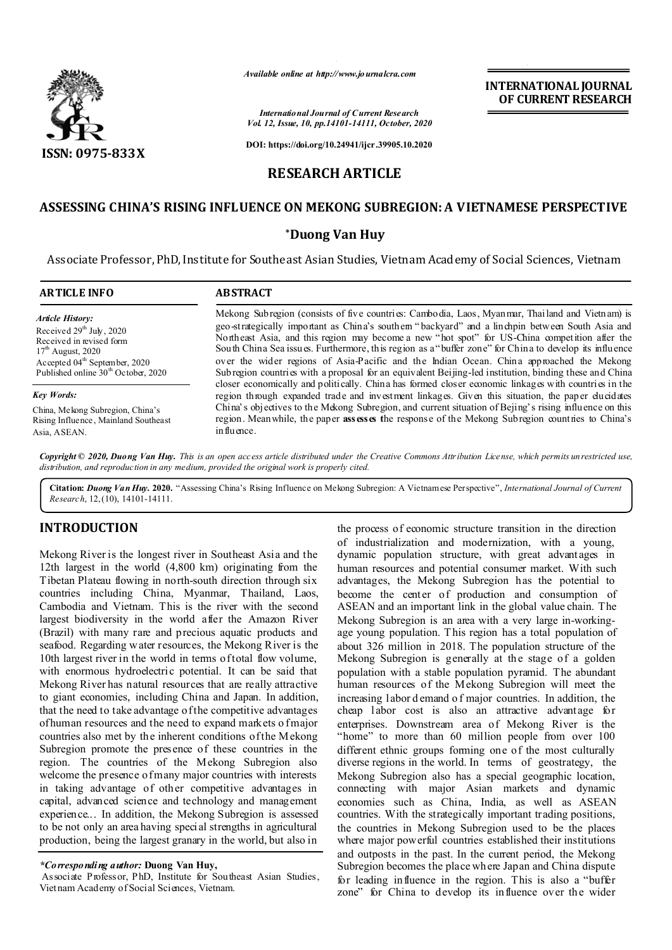

*Available online at http://www.journalcra.com*

**INTERNATIONAL JOURNAL OF CURRENT RESEARCH**

*International Journal of Current Research Vol. 12, Issue, 10, pp.14101-14111, October, 2020*

**DOI: https://doi.org/10.24941/ijcr.39905.10.2020**

# **RESEARCH ARTICLE**

# **ASSESSING CHINA'S RISING INFLUENCE ON MEKONG SUBREGION: A VIETNAMESE PERSPECTIVE**

### **\*Duong Van Huy**

Associate Professor, PhD, Institute for Southeast Asian Studies, Vietnam Academy of Social Sciences, Vietnam

| <b>ARTICLE INFO</b>                             | <b>ABSTRACT</b>                                                                                                                                                                                           |  |  |  |
|-------------------------------------------------|-----------------------------------------------------------------------------------------------------------------------------------------------------------------------------------------------------------|--|--|--|
| <b>Article History:</b>                         | Mekong Subregion (consists of five countries: Cambodia, Laos, Myanmar, Thailand and Vietnam) is                                                                                                           |  |  |  |
| Received $29th$ July, 2020                      | geo-strategically important as China's southem "backyard" and a linchpin between South Asia and                                                                                                           |  |  |  |
| Received in revised form                        | Northeast Asia, and this region may become a new "hot spot" for US-China competition after the                                                                                                            |  |  |  |
| $17th$ August, 2020                             | South China Sea issues. Furthermore, this region as a "buffer zone" for China to develop its influence                                                                                                    |  |  |  |
| Accepted $04th$ September, 2020                 | over the wider regions of Asia-Pacific and the Indian Ocean. China approached the Mekong                                                                                                                  |  |  |  |
| Published online 30 <sup>th</sup> October, 2020 | Sub region countries with a proposal for an equivalent Beijing-led institution, binding these and China                                                                                                   |  |  |  |
| Key Words:                                      | closer economically and politically. China has formed closer economic linkages with countries in the<br>region through expanded trade and investment linkages. Given this situation, the paper elucidates |  |  |  |
| China, Mekong Subregion, China's                | China's objectives to the Mekong Subregion, and current situation of Bejing's rising influence on this                                                                                                    |  |  |  |
| Rising Influence, Mainland Southeast            | region. Meanwhile, the paper assess of the response of the Mekong Subregion countries to China's                                                                                                          |  |  |  |
| Asia, ASEAN.                                    | in fluence.                                                                                                                                                                                               |  |  |  |

Copyright © 2020, Duong Van Huy. This is an open access article distributed under the Creative Commons Attribution License, which permits unrestricted use, *distribution, and reproduction in any medium, provided the original work is properly cited.*

**Citation:** *Duong Van Huy.* **2020.** "Assessing China's Rising Influence on Mekong Subregion: A Vietnamese Perspective", *International Journal of Current Research*, 12,(10), 14101-14111.

## **INTRODUCTION**

Mekong River is the longest river in Southeast Asia and the 12th largest in the world (4,800 km) originating from the Tibetan Plateau flowing in north-south direction through six countries including China, Myanmar, Thailand, Laos, Cambodia and Vietnam. This is the river with the second largest biodiversity in the world after the Amazon River (Brazil) with many rare and precious aquatic products and seafood. Regarding water resources, the Mekong River is the 10th largest river in the world in terms of total flow volume, with enormous hydroelectric potential. It can be said that Mekong River has natural resources that are really attractive to giant economies, including China and Japan. In addition, that the need to take advantage of the competitive advantages of human resources and the need to expand markets of major countries also met by the inherent conditions of the Mekong Subregion promote the presence of these countries in the region. The countries of the Mekong Subregion also welcome the presence of many major countries with interests in taking advantage of other competitive advantages in capital, advanced science and technology and management experience... In addition, the Mekong Subregion is assessed to be not only an area having special strengths in agricultural production, being the largest granary in the world, but also in

Associate Professor, PhD, Institute for Southeast Asian Studies, Vietnam Academy of Social Sciences, Vietnam.

the process of economic structure transition in the direction of industrialization and modernization, with a young, dynamic population structure, with great advantages in human resources and potential consumer market. With such advantages, the Mekong Subregion has the potential to become the center of production and consumption of ASEAN and an important link in the global value chain. The Mekong Subregion is an area with a very large in-workingage young population. T his region has a total population of about 326 million in 2018. The population structure of the Mekong Subregion is generally at the stage of a golden population with a stable population pyramid. The abundant human resources of the Mekong Subregion will meet the increasing labor d emand o f major countries. In addition, the cheap labor cost is also an attractive advantage for enterprises. Downstream area of Mekong River is the "home" to more than 60 million people from over 100 different ethnic groups forming one of the most culturally diverse regions in the world. In terms of geostrategy, the Mekong Subregion also has a special geographic location, connecting with major Asian markets and dynamic economies such as China, India, as well as ASEAN countries. With the strategically important trading positions, the countries in Mekong Subregion used to be the places where major powerful countries established their institutions and outposts in the past. In the current period, the Mekong Subregion becomes the place wh ere Japan and China dispute for leading influence in the region. This is also a "buffer zone" for China to develop its influence over the wider

*<sup>\*</sup>Corresponding author:* **Duong Van Huy,**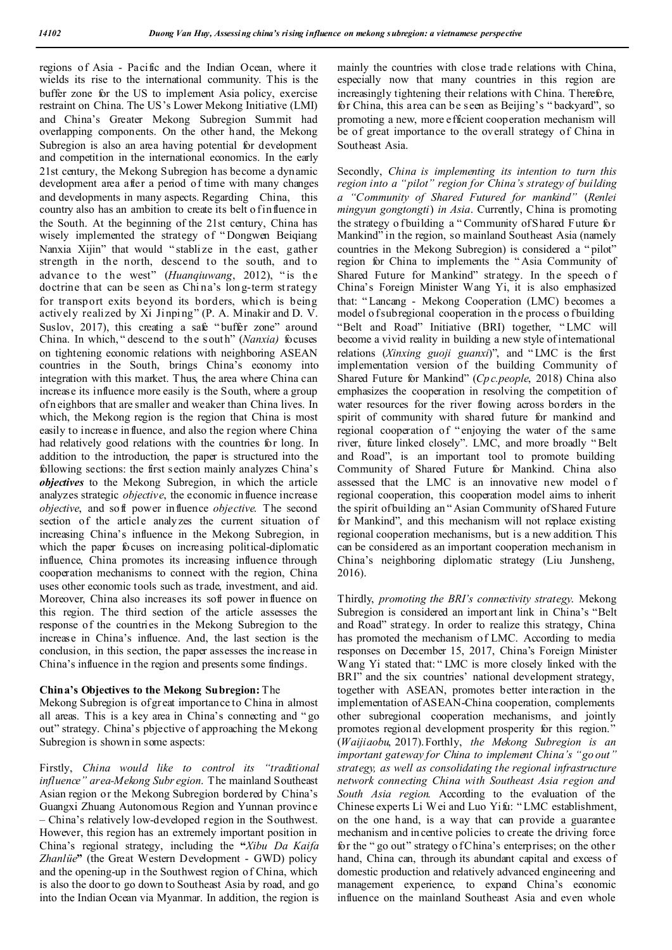regions of Asia - Pacific and the Indian Ocean, where it wields its rise to the international community. This is the buffer zone for the US to implement Asia policy, exercise restraint on China. The US's Lower Mekong Initiative (LMI) and China's Greater Mekong Subregion Summit had overlapping components. On the other hand, the Mekong Subregion is also an area having potential for development and competition in the international economics. In the early 21st century, the Mekong Subregion has become a dynamic development area after a period of time with many changes and developments in many aspects. Regarding China, this country also has an ambition to create its belt o f influence in the South. At the beginning of the 21st century, China has wisely implemented the strategy of " Dongwen Beiqiang Nanxia Xijin" that would " stabli ze in the east, gather strength in the north, descend to the south, and to advance to the west" (*Huanqiuwang*, 2012), " is the doctrine that can be seen as China's long-term strategy for transport exits beyond its borders, which is being actively realized by Xi Jinping" (P. A. Minakir and D. V. Suslov, 2017), this creating a safe "buffer zone" around China. In which, " descend to the south" (*Nanxia)* focuses on tightening economic relations with neighboring ASEAN countries in the South, brings China's economy into integration with this market. Thus, the area where China can increase its influence more easily is the South, where a group of n eighbors that are smaller and weaker than China lives. In which, the Mekong region is the region that China is most easily to increase in fluence, and also the region where China had relatively good relations with the countries for long. In addition to the introduction, the paper is structured into the following sections: the first section mainly analyzes China's *objectives* to the Mekong Subregion, in which the article analyzes strategic *objective*, the economic influence increase *objective*, and soft power influence *objective*. The second section of the article analyzes the current situation of increasing China's influence in the Mekong Subregion, in which the paper focuses on increasing political-diplomatic influence, China promotes its increasing influence through cooperation mechanisms to connect with the region, China uses other economic tools such as trade, investment, and aid. Moreover, China also increases its soft power influence on this region. The third section of the article assesses the response of the countries in the Mekong Subregion to the increase in China's influence. And, the last section is the conclusion, in this section, the paper assesses the increase in China's influence in the region and presents some findings.

#### **China's Objectives to the Mekong Subregion:** The

Mekong Subregion is of great importance to China in almost all areas. This is a key area in China's connecting and " go out" strategy. China's pbjective of approaching the Mekong Subregion is shown in some aspects:

Firstly, *China would like to control its "traditional influence" area-Mekong Subr egion*. The mainland Southeast Asian region or the Mekong Subregion bordered by China's Guangxi Zhuang Autonomous Region and Yunnan province – China's relatively low-developed region in the Southwest. However, this region has an extremely important position in China's regional strategy, including the **"***Xibu Da Kaifa Zhanlüe***"** (the Great Western Development - GWD) policy and the opening-up in the Southwest region of China, which is also the door to go down to Southeast Asia by road, and go into the Indian Ocean via Myanmar. In addition, the region is mainly the countries with close trade relations with China, especially now that many countries in this region are increasingly tightening their relations with China. Therefore, for China, this area can be seen as Beijing's " backyard", so promoting a new, more efficient cooperation mechanism will be of great importance to the overall strategy of China in Southeast Asia.

Secondly, *China is implementing its intention to turn this region into a "pilot" region for China's strategy of building a "Community of Shared Futured for mankind"* (*Renlei mingyun gongtongti*) *in Asia*. Currently, China is promoting the strategy o fbuilding a "Community of Shared Future for Mankind" in the region, so mainland Southeast Asia (namely countries in the Mekong Subregion) is considered a " pilot" region for China to implements the " Asia Community of Shared Future for Mankind" strategy. In the speech o f China's Foreign Minister Wang Yi, it is also emphasized that: " Lancang - Mekong Cooperation (LMC) becomes a model o f sub regional cooperation in the process o f building "Belt and Road" Initiative (BRI) together, " LMC will become a vivid reality in building a new style of international relations (*Xinxing guoji guanxi*)", and " LMC is the first implementation version of the building Community of Shared Future for Mankind" (*Cp c.people*, 2018) China also emphasizes the cooperation in resolving the competition of water resources for the river flowing across borders in the spirit of community with shared future for mankind and regional cooperation of " enjoying the water of the same river, future linked closely". LMC, and more broadly " Belt and Road", is an important tool to promote building Community of Shared Future for Mankind. China also assessed that the LMC is an innovative new model o f regional cooperation, this cooperation model aims to inherit the spirit of building an " Asian Community of Shared Future for Mankind", and this mechanism will not replace existing regional cooperation mechanisms, but is a new addition. This can be considered as an important cooperation mechanism in China's neighboring diplomatic strategy (Liu Junsheng, 2016).

Thirdly, *promoting the BRI's connectivity strategy*. Mekong Subregion is considered an import ant link in China's "Belt and Road" strategy. In order to realize this strategy, China has promoted the mechanism of LMC. According to media responses on December 15, 2017, China's Foreign Minister Wang Yi stated that: " LMC is more closely linked with the BRI" and the six countries' national development strategy, together with ASEAN, promotes better interaction in the implementation of ASEAN-China cooperation, complements other subregional cooperation mechanisms, and jointly promotes regional development prosperity for this region." (*Waijiaobu*, 2017). Forthly, *the Mekong Subregion is an important gateway for China to implement China's "go out" strategy, as well as consolidating the regional infrastructure network connecting China with Southeast Asia region and South Asia region*. According to the evaluation of the Chinese experts Li Wei and Luo Yifu: " LMC establishment, on the one hand, is a way that can provide a guarantee mechanism and in centive policies to create the driving force for the " go out" strategy of China's enterprises; on the other hand, China can, through its abundant capital and excess of domestic production and relatively advanced engineering and management experience, to expand China's economic influence on the mainland Southeast Asia and even whole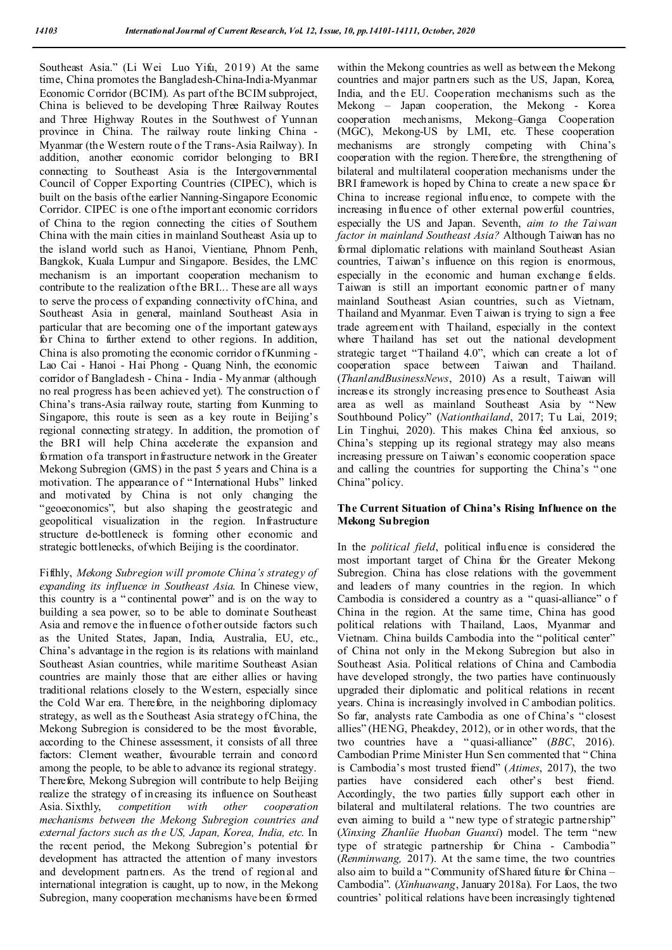Southeast Asia." (Li Wei Luo Yifu, 2019) At the same time, China promotes the Bangladesh-China-India-Myanmar Economic Corridor (BCIM). As part of the BCIM subproject, China is believed to be developing Three Railway Routes and Three Highway Routes in the Southwest of Yunnan province in China. The railway route linking China - Myanmar (the Western route o f the T rans-Asia Railway). In addition, another economic corridor belonging to BRI connecting to Southeast Asia is the Intergovernmental Council of Copper Exporting Countries (CIPEC), which is built on the basis of the earlier Nanning-Singapore Economic Corridor. CIPEC is one of the import ant economic corridors of China to the region connecting the cities of Southern China with the main cities in mainland Southeast Asia up to the island world such as Hanoi, Vientiane, Phnom Penh, Bangkok, Kuala Lumpur and Singapore. Besides, the LMC mechanism is an important cooperation mechanism to contribute to the realization of the BRI... These are all ways to serve the process of expanding connectivity of China, and Southeast Asia in general, mainland Southeast Asia in particular that are becoming one of the important gateways for China to further extend to other regions. In addition, China is also promoting the economic corridor o f Kunming - Lao Cai - Hanoi - Hai Phong - Quang Ninh, the economic corridor of Bangladesh - China - India - Myanmar (although no real progress h as been achieved yet). The construction o f China's trans-Asia railway route, starting from Kunming to Singapore, this route is seen as a key route in Beijing's regional connecting strategy. In addition, the promotion of the BRI will help China accelerate the expansion and formation of a transport infrastructure network in the Greater Mekong Subregion (GMS) in the past 5 years and China is a motivation. The appearance of " International Hubs" linked and motivated by China is not only changing the "geoeconomics", but also shaping the geostrategic and geopolitical visualization in the region. Infrastructure structure de-bottleneck is forming other economic and strategic bottlenecks, of which Beijing is the coordinator.

Fifthly, *Mekong Subregion will promote China's strategy of expanding its influence in Southeast Asia*. In Chinese view, this country is a " continental power" and is on the way to building a sea power, so to be able to dominate Southeast Asia and remove the influence of other outside factors such as the United States, Japan, India, Australia, EU, etc., China's advantage in the region is its relations with mainland Southeast Asian countries, while maritime Southeast Asian countries are mainly those that are either allies or having traditional relations closely to the Western, especially since the Cold War era. Therefore, in the neighboring diplomacy strategy, as well as th e Southeast Asia strategy of China, the Mekong Subregion is considered to be the most favorable, according to the Chinese assessment, it consists of all three factors: Clement weather, favourable terrain and concord among the people, to be able to advance its regional strategy. Therefore, Mekong Subregion will contribute to help Beijing realize the strategy of increasing its influence on Southeast Asia. Sixthly, *competition with other cooperation mechanisms between the Mekong Subregion countries and external factors such as the US, Japan, Korea, India, etc*. In the recent period, the Mekong Subregion's potential for development has attracted the attention of many investors and development partners. As the trend of regional and international integration is caught, up to now, in the Mekong Subregion, many cooperation mechanisms have been formed

within the Mekong countries as well as between the Mekong countries and major partners such as the US, Japan, Korea, India, and the EU. Cooperation mechanisms such as the Mekong – Japan cooperation, the Mekong - Korea cooperation mechanisms, Mekong–Ganga Cooperation (MGC), Mekong-US by LMI, etc. These cooperation mechanisms are strongly competing with China's cooperation with the region. Therefore, the strengthening of bilateral and multilateral cooperation mechanisms under the BRI framework is hoped by China to create a new space for China to increase regional influence, to compete with the increasing influence of other external powerful countries, especially the US and Japan. Seventh, *aim to the Taiwan factor in mainland Southeast Asia?* Although Taiwan has no formal diplomatic relations with mainland Southeast Asian countries, Taiwan's influence on this region is enormous, especially in the economic and human exchange fields. Taiwan is still an important economic partner of many mainland Southeast Asian countries, such as Vietnam, Thailand and Myanmar. Even T aiwan is trying to sign a free trade agreement with Thailand, especially in the context where Thailand has set out the national development strategic target "Thailand 4.0", which can create a lot of cooperation space between Taiwan and Thailand. (*ThanlandBusinessNews*, 2010) As a result, Taiwan will increase its strongly increasing presence to Southeast Asia area as well as mainland Southeast Asia by " New Southbound Policy" (*Nationthailand*, 2017; Tu Lai, 2019; Lin Tinghui, 2020). This makes China feel anxious, so China's stepping up its regional strategy may also means increasing pressure on Taiwan's economic cooperation space and calling the countries for supporting the China's " one China" policy.

### **The Current Situation of China's Rising Influence on the Mekong Subregion**

In the *political field*, political influence is considered the most important target of China for the Greater Mekong Subregion. China has close relations with the government and leaders of many countries in the region. In which Cambodia is considered a country as a " quasi-alliance" o f China in the region. At the same time, China has good political relations with Thailand, Laos, Myanmar and Vietnam. China builds Cambodia into the "political center" of China not only in the Mekong Subregion but also in Southeast Asia. Political relations of China and Cambodia have developed strongly, the two parties have continuously upgraded their diplomatic and political relations in recent years. China is increasingly involved in C ambodian politics. So far, analysts rate Cambodia as one of China's " closest allies" (HENG, Pheakdey, 2012), or in other words, that the two countries have a " quasi-alliance" (*BBC*, 2016). Cambodian Prime Minister Hun Sen commented that " China is Cambodia's most trusted friend" (*Atimes*, 2017), the two parties have considered each other's best friend. Accordingly, the two parties fully support each other in bilateral and multilateral relations. The two countries are even aiming to build a " new type of strategic partnership" (*Xinxing Zhanlüe Huoban Guanxi*) model. The term "new type of strategic partnership for China - Cambodia" (*Renminwang,* 2017). At the same time, the two countries also aim to build a "Community of Shared future for China – Cambodia". (*Xinhuawang*, January 2018a). For Laos, the two countries' political relations have been increasingly tightened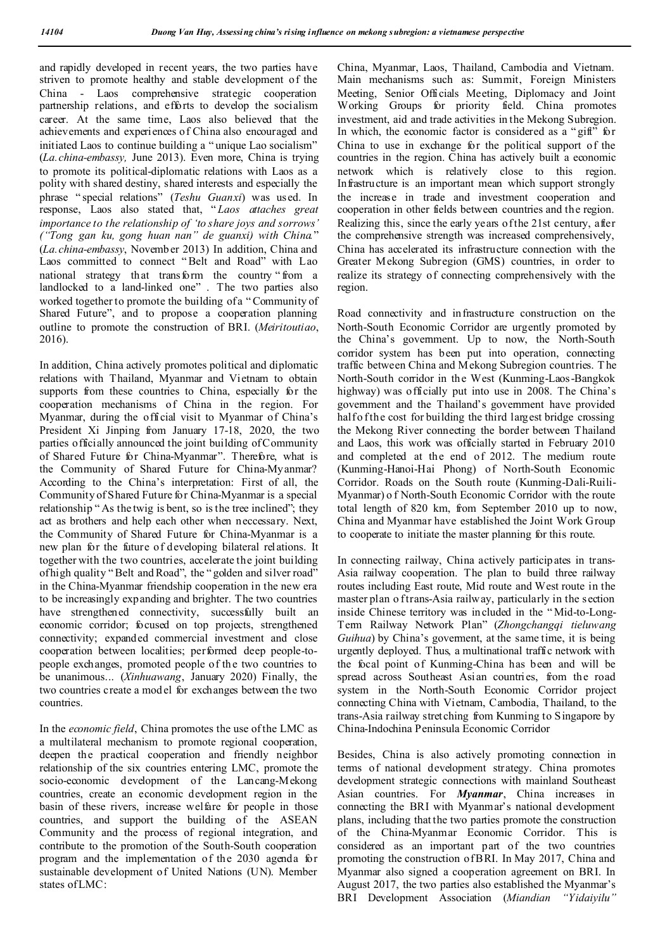and rapidly developed in recent years, the two parties have striven to promote healthy and stable development of the China - Laos comprehensive strategic cooperation partnership relations, and efforts to develop the socialism career. At the same time, Laos also believed that the achievements and experiences of China also encouraged and initiated Laos to continue building a " unique Lao socialism" (*La.china-embassy,* June 2013). Even more, China is trying to promote its political-diplomatic relations with Laos as a polity with shared destiny, shared interests and especially the phrase " special relations" (*Teshu Guanxi*) was used. In response, Laos also stated that, " *Laos attaches great importance to the relationship of 'to share joys and sorrows' ("Tong gan ku, gong huan nan" de guanxi) with China.*" (*La.china-embassy*, November 2013) In addition, China and Laos committed to connect " Belt and Road" with Lao national strategy that transform the country " from a landlocked to a land-linked one" . The two parties also worked together to promote the building of a "Community of Shared Future", and to propose a cooperation planning outline to promote the construction of BRI. (*Meiritoutiao*, 2016).

In addition, China actively promotes political and diplomatic relations with Thailand, Myanmar and Vietnam to obtain supports from these countries to China, especially for the cooperation mechanisms of China in the region. For Myanmar, during the official visit to Myanmar of China's President Xi Jinping from January 17-18, 2020, the two parties officially announced the joint building of Community of Shared Future for China-Myanmar". Therefore, what is the Community of Shared Future for China-Myanmar? According to the China's interpretation: First of all, the Community of Shared Future for China-Myanmar is a special relationship " As the twig is bent, so is the tree inclined"; they act as brothers and help each other when neccessary. Next, the Community of Shared Future for China-Myanmar is a new plan for the future of developing bilateral relations. It together with the two countries, accelerate the joint building of high quality " Belt and Road", the " golden and silver road" in the China-Myanmar friendship cooperation in the new era to be increasingly expanding and brighter. The two countries have strengthened connectivity, successfully built an economic corridor; focused on top projects, strengthened connectivity; expanded commercial investment and close cooperation between localities; performed deep people-topeople exchanges, promoted people of the two countries to be unanimous... (*Xinhuawang*, January 2020) Finally, the two countries create a mod el for exchanges between the two countries.

In the *economic field*, China promotes the use of the LMC as a multilateral mechanism to promote regional cooperation, deepen the practical cooperation and friendly neighbor relationship of the six countries entering LMC, promote the socio-economic development of the Lancang-Mekong countries, create an economic development region in the basin of these rivers, increase welfare for people in those countries, and support the building of the ASEAN Community and the process of regional integration, and contribute to the promotion of the South-South cooperation program and the implementation of the 2030 agenda for sustainable development of United Nations (UN). Member states of LMC:

China, Myanmar, Laos, Thailand, Cambodia and Vietnam. Main mechanisms such as: Summit, Foreign Ministers Meeting, Senior Officials Meeting, Diplomacy and Joint Working Groups for priority field. China promotes investment, aid and trade activities in the Mekong Subregion. In which, the economic factor is considered as a "gift" for China to use in exchange for the political support of the countries in the region. China has actively built a economic network which is relatively close to this region. Infrastructure is an important mean which support strongly the increase in trade and investment cooperation and cooperation in other fields between countries and the region. Realizing this, since the early years of the 21st century, after the comprehensive strength was increased comprehensively, China has accelerated its infrastructure connection with the Greater Mekong Subregion (GMS) countries, in order to realize its strategy of connecting comprehensively with the region.

Road connectivity and infrastructure construction on the North-South Economic Corridor are urgently promoted by the China's government. Up to now, the North-South corridor system has been put into operation, connecting traffic between China and Mekong Subregion countries. T he North-South corridor in the West (Kunming-Laos-Bangkok highway) was officially put into use in 2008. The China's government and the Thailand's government have provided half of the cost for building the third largest bridge crossing the Mekong River connecting the border between Thailand and Laos, this work was officially started in February 2010 and completed at the end of 2012. The medium route (Kunming-Hanoi-Hai Phong) of North-South Economic Corridor. Roads on the South route (Kunming-Dali-Ruili-Myanmar) o f North-South Economic Corridor with the route total length of 820 km, from September 2010 up to now, China and Myanmar have established the Joint Work Group to cooperate to initiate the master planning for this route.

In connecting railway, China actively participates in trans-Asia railway cooperation. The plan to build three railway routes including East route, Mid route and West route in the master plan o f trans-Asia railway, particularly in the section inside Chinese territory was included in the " Mid-to-Long-Term Railway Network Plan" (*Zhongchangqi tieluwang Guihua*) by China's goverment, at the same time, it is being urgently deployed. Thus, a multinational traffic network with the focal point of Kunming-China has been and will be spread across Southeast Asian countries, from the road system in the North-South Economic Corridor project connecting China with Vietnam, Cambodia, Thailand, to the trans-Asia railway stretching from Kunming to Singapore by China-Indochina Peninsula Economic Corridor

Besides, China is also actively promoting connection in terms of national development strategy. China promotes development strategic connections with mainland Southeast Asian countries. For *Myanmar*, China increases in connecting the BRI with Myanmar's national development plans, including that the two parties promote the construction of the China-Myanmar Economic Corridor. This is considered as an important part of the two countries promoting the construction of BRI. In May 2017, China and Myanmar also signed a cooperation agreement on BRI. In August 2017, the two parties also established the Myanmar's BRI Development Association (*Miandian "Yidaiyilu"*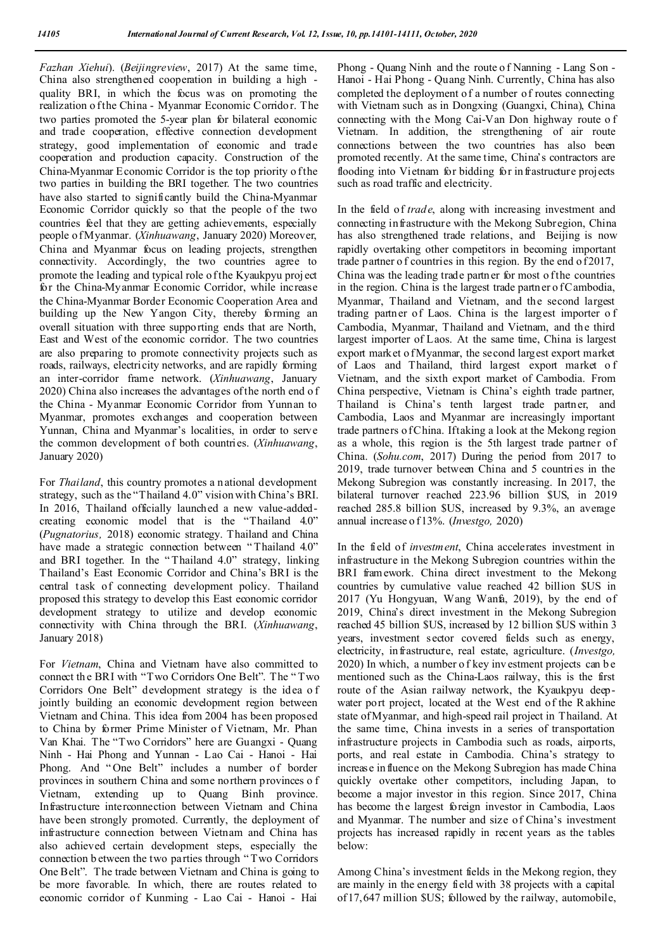*Fazhan Xiehui*). (*Beijingreview*, 2017) At the same time, China also strengthened cooperation in building a high quality BRI, in which the focus was on promoting the realization o f the China - Myanmar Economic Corridor. The two parties promoted the 5-year plan for bilateral economic and trade cooperation, effective connection development strategy, good implementation of economic and trade cooperation and production capacity. Construction of the China-Myanmar Economic Corridor is the top priority o f the two parties in building the BRI together. The two countries have also started to significantly build the China-Myanmar Economic Corridor quickly so that the people of the two countries feel that they are getting achievements, especially people o f Myanmar. (*Xinhuawang*, January 2020) Moreover, China and Myanmar focus on leading projects, strengthen connectivity. Accordingly, the two countries agree to promote the leading and typical role of the Kyaukpyu proj ect for the China-Myanmar Economic Corridor, while increase the China-Myanmar Border Economic Cooperation Area and building up the New Yangon City, thereby forming an overall situation with three supporting ends that are North, East and West of the economic corridor. The two countries are also preparing to promote connectivity projects such as roads, railways, electricity networks, and are rapidly forming an inter-corridor frame network. (*Xinhuawang*, January 2020) China also increases the advantages of the north end o f the China - Myanmar Economic Corridor from Yunnan to Myanmar, promotes exchanges and cooperation between Yunnan, China and Myanmar's localities, in order to serve the common development of both countries. (*Xinhuawang*, January 2020)

For *Thailand*, this country promotes a national development strategy, such as the "Thailand 4.0" vision with China's BRI. In 2016, Thailand officially launched a new value-addedcreating economic model that is the "Thailand 4.0" (*Pugnatorius,* 2018) economic strategy. Thailand and China have made a strategic connection between "Thailand 4.0" and BRI together. In the " Thailand 4.0" strategy, linking Thailand's East Economic Corridor and China's BRI is the central task of connecting development policy. Thailand proposed this strategy to develop this East economic corridor development strategy to utilize and develop economic connectivity with China through the BRI. (*Xinhuawang*, January 2018)

For *Vietnam*, China and Vietnam have also committed to connect th e BRI with "Two Corridors One Belt". The " Two Corridors One Belt" development strategy is the idea o f jointly building an economic development region between Vietnam and China. This idea from 2004 has been proposed to China by former Prime Minister of Vietnam, Mr. Phan Van Khai. The "Two Corridors" here are Guangxi - Quang Ninh - Hai Phong and Yunnan - Lao Cai - Hanoi - Hai Phong. And "One Belt" includes a number of border provinces in southern China and some northern provinces o f Vietnam, extending up to Quang Binh province. Infrastructure interconnection between Vietnam and China have been strongly promoted. Currently, the deployment of infrastructure connection between Vietnam and China has also achieved certain development steps, especially the connection b etween the two parties through " Two Corridors One Belt". The trade between Vietnam and China is going to be more favorable. In which, there are routes related to economic corridor of Kunming - Lao Cai - Hanoi - Hai

Phong - Quang Ninh and the route o f Nanning - Lang Son - Hanoi - Hai Phong - Quang Ninh. Currently, China has also completed the deployment of a number of routes connecting with Vietnam such as in Dongxing (Guangxi, China), China connecting with the Mong Cai-Van Don highway route o f Vietnam. In addition, the strengthening of air route connections between the two countries has also been promoted recently. At the same time, China's contractors are flooding into Vietnam for bidding for in frastructure projects such as road traffic and electricity.

In the field of *trade*, along with increasing investment and connecting infrastructure with the Mekong Subregion, China has also strengthened trade relations, and Beijing is now rapidly overtaking other competitors in becoming important trade partner of countries in this region. By the end of 2017, China was the leading trade partner for most of the countries in the region. China is the largest trade partner of Cambodia, Myanmar, Thailand and Vietnam, and the second largest trading partner of Laos. China is the largest importer o f Cambodia, Myanmar, Thailand and Vietnam, and the third largest importer of Laos. At the same time, China is largest export market o fMyanmar, the second largest export market of Laos and Thailand, third largest export market o f Vietnam, and the sixth export market of Cambodia. From China perspective, Vietnam is China's eighth trade partner, Thailand is China's tenth largest trade partner, and Cambodia, Laos and Myanmar are increasingly important trade partners o f China. If taking a look at the Mekong region as a whole, this region is the 5th largest trade partner of China. (*Sohu.com*, 2017) During the period from 2017 to 2019, trade turnover between China and 5 countries in the Mekong Subregion was constantly increasing. In 2017, the bilateral turnover reached 223.96 billion \$US, in 2019 reached 285.8 billion \$US, increased by 9.3%, an average annual increase o f 13%. (*Investgo,* 2020)

In the field of *investment*, China accelerates investment in infrastructure in the Mekong Subregion countries within the BRI framework. China direct investment to the Mekong countries by cumulative value reached 42 billion \$US in 2017 (Yu Hongyuan, Wang Wanfa, 2019), by the end of 2019, China's direct investment in the Mekong Subregion reached 45 billion \$US, increased by 12 billion \$US within 3 years, investment sector covered fields such as energy, electricity, infrastructure, real estate, agriculture. (*Investgo,* 2020) In which, a number o f key inv estment projects can b e mentioned such as the China-Laos railway, this is the first route of the Asian railway network, the Kyaukpyu deepwater port project, located at the West end of the R akhine state of Myanmar, and high-speed rail project in Thailand. At the same time, China invests in a series of transportation infrastructure projects in Cambodia such as roads, airports, ports, and real estate in Cambodia. China's strategy to increase in fluence on the Mekong Subregion has made China quickly overtake other competitors, including Japan, to become a major investor in this region. Since 2017, China has become the largest foreign investor in Cambodia, Laos and Myanmar. The number and size of China's investment projects has increased rapidly in recent years as the tables below:

Among China's investment fields in the Mekong region, they are mainly in the energy field with 38 projects with a capital of 17,647 million \$US; followed by the railway, automobile,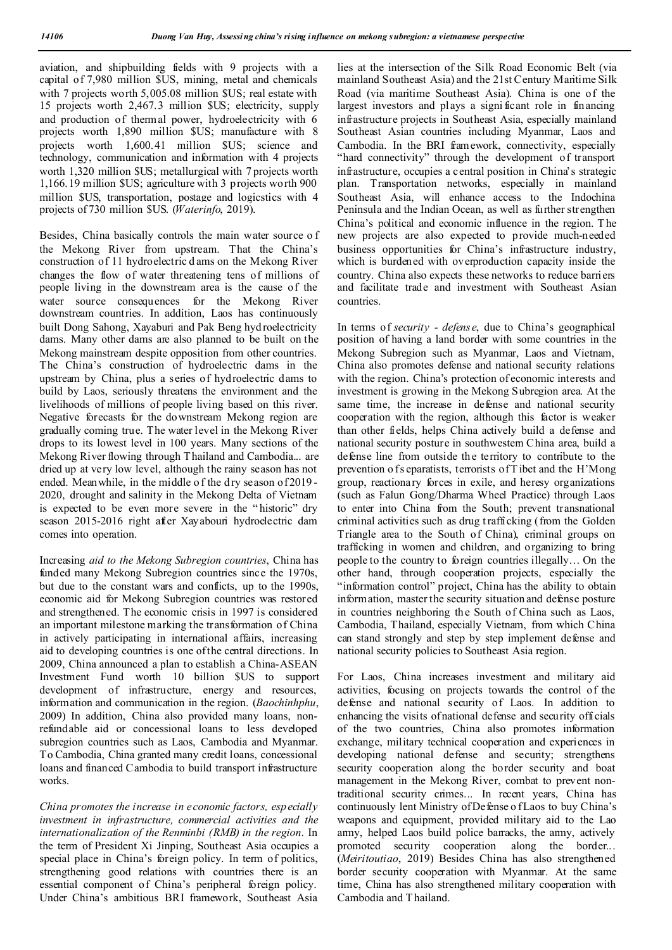aviation, and shipbuilding fields with 9 projects with a capital of 7,980 million \$US, mining, metal and chemicals with 7 projects worth 5,005.08 million \$US; real estate with 15 projects worth 2,467.3 million \$US; electricity, supply and production of thermal power, hydroelectricity with 6 projects worth 1,890 million \$US; manufacture with 8 projects worth 1,600.41 million \$US; science and technology, communication and information with 4 projects worth 1,320 million \$US; metallurgical with 7 projects worth 1,166.19 million \$US; agriculture with 3 projects worth 900 million \$US, transportation, postage and logicstics with 4 projects of 730 million \$US. (*Waterinfo*, 2019).

Besides, China basically controls the main water source o f the Mekong River from upstream. That the China's construction of 11 hydroelectric d ams on the Mekong River changes the flow of water threatening tens of millions of people living in the downstream area is the cause of the water source consequences for the Mekong River downstream countries. In addition, Laos has continuously built Dong Sahong, Xayaburi and Pak Beng hyd roelectricity dams. Many other dams are also planned to be built on the Mekong mainstream despite opposition from other countries. The China's construction of hydroelectric dams in the upstream by China, plus a series of hydroelectric dams to build by Laos, seriously threatens the environment and the livelihoods of millions of people living based on this river. Negative forecasts for the downstream Mekong region are gradually coming true. The water level in the Mekong River drops to its lowest level in 100 years. Many sections of the Mekong River flowing through T hailand and Cambodia... are dried up at very low level, although the rainy season has not ended. Meanwhile, in the middle of the dry season of 2019 -2020, drought and salinity in the Mekong Delta of Vietnam is expected to be even more severe in the " historic" dry season 2015-2016 right after Xayabouri hydroelectric dam comes into operation.

Increasing *aid to the Mekong Subregion countries*, China has funded many Mekong Subregion countries since the 1970s, but due to the constant wars and conflicts, up to the 1990s, economic aid for Mekong Subregion countries was restored and strengthened. The economic crisis in 1997 is considered an important milestone marking the transformation of China in actively participating in international affairs, increasing aid to developing countries is one of the central directions. In 2009, China announced a plan to establish a China-ASEAN Investment Fund worth 10 billion \$US to support development of infrastructure, energy and resources, information and communication in the region. (*Baochinhphu*, 2009) In addition, China also provided many loans, nonrefundable aid or concessional loans to less developed subregion countries such as Laos, Cambodia and Myanmar. To Cambodia, China granted many credit loans, concessional loans and financed Cambodia to build transport infrastructure works.

*China promotes the increase in economic factors, especially investment in infrastructure, commercial activities and the internationalization of the Renminbi (RMB) in the region*. In the term of President Xi Jinping, Southeast Asia occupies a special place in China's foreign policy. In term of politics, strengthening good relations with countries there is an essential component of China's peripheral foreign policy. Under China's ambitious BRI framework, Southeast Asia

lies at the intersection of the Silk Road Economic Belt (via mainland Southeast Asia) and the 21st Century Maritime Silk Road (via maritime Southeast Asia). China is one of the largest investors and plays a signi ficant role in financing infrastructure projects in Southeast Asia, especially mainland Southeast Asian countries including Myanmar, Laos and Cambodia. In the BRI framework, connectivity, especially "hard connectivity" through the development of transport infrastructure, occupies a central position in China's strategic plan. Transportation networks, especially in mainland Southeast Asia, will enhance access to the Indochina Peninsula and the Indian Ocean, as well as further strengthen China's political and economic influence in the region. T he new projects are also expected to provide much-needed business opportunities for China's infrastructure industry, which is burdened with overproduction capacity inside the country. China also expects these networks to reduce barriers and facilitate trade and investment with Southeast Asian countries.

In terms of *security - defense*, due to China's geographical position of having a land border with some countries in the Mekong Subregion such as Myanmar, Laos and Vietnam, China also promotes defense and national security relations with the region. China's protection of economic interests and investment is growing in the Mekong Subregion area. At the same time, the increase in defense and national security cooperation with the region, although this factor is weaker than other fields, helps China actively build a defense and national security posture in southwestern China area, build a defense line from outside the territory to contribute to the prevention o fs eparatists, terrorists of T ibet and the H'Mong group, reactionary forces in exile, and heresy organizations (such as Falun Gong/Dharma Wheel Practice) through Laos to enter into China from the South; prevent transnational criminal activities such as drug t rafficking (from the Golden Triangle area to the South of China), criminal groups on trafficking in women and children, and organizing to bring people to the country to foreign countries illegally… On the other hand, through cooperation projects, especially the "information control" project, China has the ability to obtain information, master the security situation and defense posture in countries neighboring the South of China such as Laos, Cambodia, Thailand, especially Vietnam, from which China can stand strongly and step by step implement defense and national security policies to Southeast Asia region.

For Laos, China increases investment and military aid activities, focusing on projects towards the control of the defense and national security of Laos. In addition to enhancing the visits of national defense and security officials of the two countries, China also promotes information exchange, military technical cooperation and experiences in developing national defense and security; strengthens security cooperation along the border security and boat management in the Mekong River, combat to prevent nontraditional security crimes... In recent years, China has continuously lent Ministry of Defense o f Laos to buy China's weapons and equipment, provided military aid to the Lao army, helped Laos build police barracks, the army, actively promoted security cooperation along the border... (*Meiritoutiao*, 2019) Besides China has also strengthened border security cooperation with Myanmar. At the same time, China has also strengthened military cooperation with Cambodia and T hailand.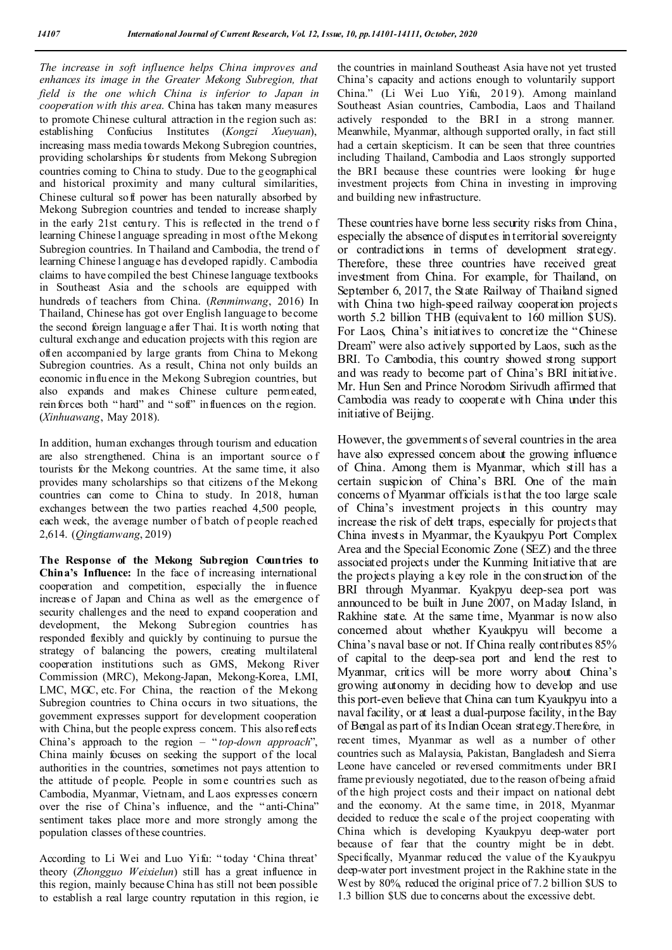*The increase in soft influence helps China improves and enhances its image in the Greater Mekong Subregion, that field is the one which China is inferior to Japan in cooperation with this area*. China has taken many measures to promote Chinese cultural attraction in the region such as: establishing Confucius Institutes (*Kongzi Xueyuan*), increasing mass media towards Mekong Subregion countries, providing scholarships for students from Mekong Subregion countries coming to China to study. Due to the geographical and historical proximity and many cultural similarities, Chinese cultural soft power has been naturally absorbed by Mekong Subregion countries and tended to increase sharply in the early 21st century. This is reflected in the trend o f learning Chinese l anguage spreading in most of the Mekong Subregion countries. In Thailand and Cambodia, the trend of learning Chinese l anguage has developed rapidly. Cambodia claims to have compiled the best Chinese language textbooks in Southeast Asia and the schools are equipped with hundreds of teachers from China. (*Renminwang*, 2016) In Thailand, Chinese has got over English language to become the second foreign language after Thai. It is worth noting that cultural exchange and education projects with this region are often accompanied by large grants from China to Mekong Subregion countries. As a result, China not only builds an economic influence in the Mekong Subregion countries, but also expands and makes Chinese culture permeated, reinforces both "hard" and "soft" influences on the region. (*Xinhuawang*, May 2018).

In addition, human exchanges through tourism and education are also strengthened. China is an important source o f tourists for the Mekong countries. At the same time, it also provides many scholarships so that citizens of the Mekong countries can come to China to study. In 2018, human exchanges between the two parties reached 4,500 people, each week, the average number of batch of people reached 2,614. (*Qingtianwang*, 2019)

**The Response of the Mekong Subregion Countries to China's Influence:** In the face of increasing international cooperation and competition, especially the influence increase of Japan and China as well as the emergence of security challenges and the need to expand cooperation and development, the Mekong Subregion countries has responded flexibly and quickly by continuing to pursue the strategy of balancing the powers, creating multilateral cooperation institutions such as GMS, Mekong River Commission (MRC), Mekong-Japan, Mekong-Korea, LMI, LMC, MGC, etc. For China, the reaction of the Mekong Subregion countries to China occurs in two situations, the government expresses support for development cooperation with China, but the people express concern. This also reflects China's approach to the region – " *top-down approach*", China mainly focuses on seeking the support of the local authorities in the countries, sometimes not pays attention to the attitude of people. People in some countries such as Cambodia, Myanmar, Vietnam, and Laos expresses concern over the rise of China's influence, and the " anti-China" sentiment takes place more and more strongly among the population classes of these countries.

According to Li Wei and Luo Yifu: " today 'China threat' theory (*Zhongguo Weixielun*) still has a great influence in this region, mainly because China h as still not been possible to establish a real large country reputation in this region, ie the countries in mainland Southeast Asia have not yet trusted China's capacity and actions enough to voluntarily support China." (Li Wei Luo Yifu, 2019). Among mainland Southeast Asian countries, Cambodia, Laos and Thailand actively responded to the BRI in a strong manner. Meanwhile, Myanmar, although supported orally, in fact still had a certain skepticism. It can be seen that three countries including Thailand, Cambodia and Laos strongly supported the BRI because these countries were looking for huge investment projects from China in investing in improving and building new infrastructure.

These countries have borne less security risks from China, especially the absence of disputes in territorial sovereignty or contradictions in terms of development strategy. Therefore, these three countries have received great investment from China. For example, for Thailand, on September 6, 2017, the State Railway of Thailand signed with China two high-speed railway cooperation projects worth 5.2 billion THB (equivalent to 160 million \$US). For Laos, China's initiatives to concretize the "Chinese Dream" were also actively supported by Laos, such as the BRI. To Cambodia, this country showed strong support and was ready to become part of China's BRI initiative. Mr. Hun Sen and Prince Norodom Sirivudh affirmed that Cambodia was ready to cooperate with China under this initiative of Beijing.

However, the governments of several countries in the area have also expressed concern about the growing influence of China. Among them is Myanmar, which still has a certain suspicion of China's BRI. One of the main concerns of Myanmar officials is that the too large scale of China's investment projects in this country may increase the risk of debt traps, especially for projects that China invests in Myanmar, the Kyaukpyu Port Complex Area and the Special Economic Zone (SEZ) and the three associated projects under the Kunming Initiative that are the projects playing a key role in the construction of the BRI through Myanmar. Kyakpyu deep-sea port was announced to be built in June 2007, on Maday Island, in Rakhine state. At the same time, Myanmar is now also concerned about whether Kyaukpyu will become a China's naval base or not. If China really contributes 85% of capital to the deep-sea port and lend the rest to Myanmar, critics will be more worry about China's growing autonomy in deciding how to develop and use this port-even believe that China can turn Kyaukpyu into a naval facility, or at least a dual-purpose facility, in the Bay of Bengal as part of its Indian Ocean strategy.Therefore, in recent times, Myanmar as well as a number of other countries such as Malaysia, Pakistan, Bangladesh and Sierra Leone have canceled or reversed commitments under BRI frame previously negotiated, due to the reason of being afraid of the high project costs and their impact on national debt and the economy. At the same time, in 2018, Myanmar decided to reduce the scale of the project cooperating with China which is developing Kyaukpyu deep-water port because of fear that the country might be in debt. Specifically, Myanmar reduced the value of the Kyaukpyu deep-water port investment project in the Rakhine state in the West by 80%, reduced the original price of 7.2 billion \$US to 1.3 billion \$US due to concerns about the excessive debt.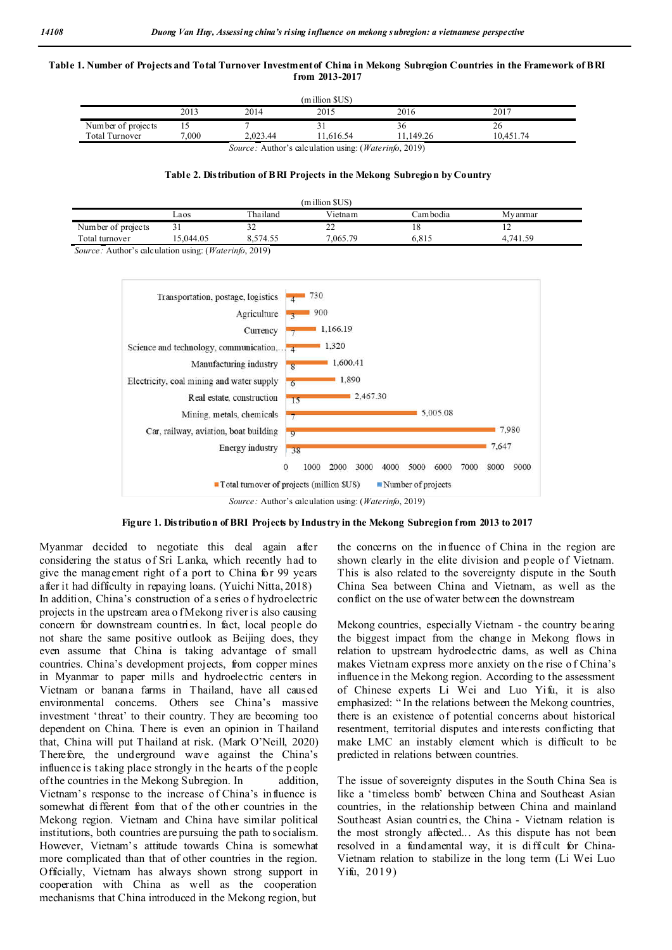#### Table 1. Number of Projects and Total Turnover Investment of China in Mekong Subregion Countries in the Framework of BRI **from 2013-2017**

| $(million$ SUS $)$                                                    |       |          |           |           |           |  |  |
|-----------------------------------------------------------------------|-------|----------|-----------|-----------|-----------|--|--|
|                                                                       | 2013  | 2014     | 2015      | 2016      | 2017      |  |  |
| Number of projects                                                    |       |          |           | 36        |           |  |  |
| <b>Total Turnover</b>                                                 | 7.000 | 2.023.44 | 11.616.54 | 11.149.26 | 10.451.74 |  |  |
| <i>Source:</i> Author's calculation using: ( <i>Waterinfo, 2019</i> ) |       |          |           |           |           |  |  |

#### **Table 2. Distribution of BRI Projects in the Mekong Subregion by Country**

| (million SUS)      |           |          |          |           |          |  |  |  |
|--------------------|-----------|----------|----------|-----------|----------|--|--|--|
|                    | ∟aos      | Thailand | Vietnam  | Cam bodia | My anmar |  |  |  |
| Number of projects | ┙┹        | ے ر      | --       | 18        | ∸        |  |  |  |
| Total turnover     | 15.044.05 | .574.55  | 7.065.79 | 6.815     | 4.741.59 |  |  |  |
|                    |           |          |          |           |          |  |  |  |

*Source:* Author's calculation using: (*Waterinfo*, 2019)





Myanmar decided to negotiate this deal again after considering the st atus of Sri Lanka, which recently had to give the management right of a port to China for 99 years after it had difficulty in repaying loans. (Yuichi Nitta, 2018) In addition, China's construction of a s eries o f hydroelectric projects in the upstream area o f Mekong river is also causing concern for downstream countries. In fact, local people do not share the same positive outlook as Beijing does, they even assume that China is taking advantage of small countries. China's development projects, from copper mines in Myanmar to paper mills and hydroelectric centers in Vietnam or banana farms in Thailand, have all caused environmental concerns. Others see China's massive investment 'threat' to their country. They are becoming too dependent on China. There is even an opinion in Thailand that, China will put Thailand at risk. (Mark O'Neill, 2020) Therefore, the underground wave against the China's influence is taking place strongly in the hearts of the p eople of the countries in the Mekong Subregion. In addition, Vietnam's response to the increase of China's influence is somewhat different from that of the other countries in the Mekong region. Vietnam and China have similar political institutions, both countries are pursuing the path to socialism. However, Vietnam's attitude towards China is somewhat more complicated than that of other countries in the region. Officially, Vietnam has always shown strong support in cooperation with China as well as the cooperation mechanisms that China introduced in the Mekong region, but

the concerns on the influence of China in the region are shown clearly in the elite division and people of Vietnam. This is also related to the sovereignty dispute in the South China Sea between China and Vietnam, as well as the conflict on the use of water between the downstream

Mekong countries, especially Vietnam - the country bearing the biggest impact from the change in Mekong flows in relation to upstream hydroelectric dams, as well as China makes Vietnam express more anxiety on the rise o f China's influence in the Mekong region. According to the assessment of Chinese experts Li Wei and Luo Yifu, it is also emphasized: " In the relations between the Mekong countries, there is an existence of potential concerns about historical resentment, territorial disputes and interests conflicting that make LMC an instably element which is difficult to be predicted in relations between countries.

The issue of sovereignty disputes in the South China Sea is like a 'timeless bomb' between China and Southeast Asian countries, in the relationship between China and mainland Southeast Asian countries, the China - Vietnam relation is the most strongly affected... As this dispute has not been resolved in a fundamental way, it is difficult for China-Vietnam relation to stabilize in the long term (Li Wei Luo Yifu, 2019)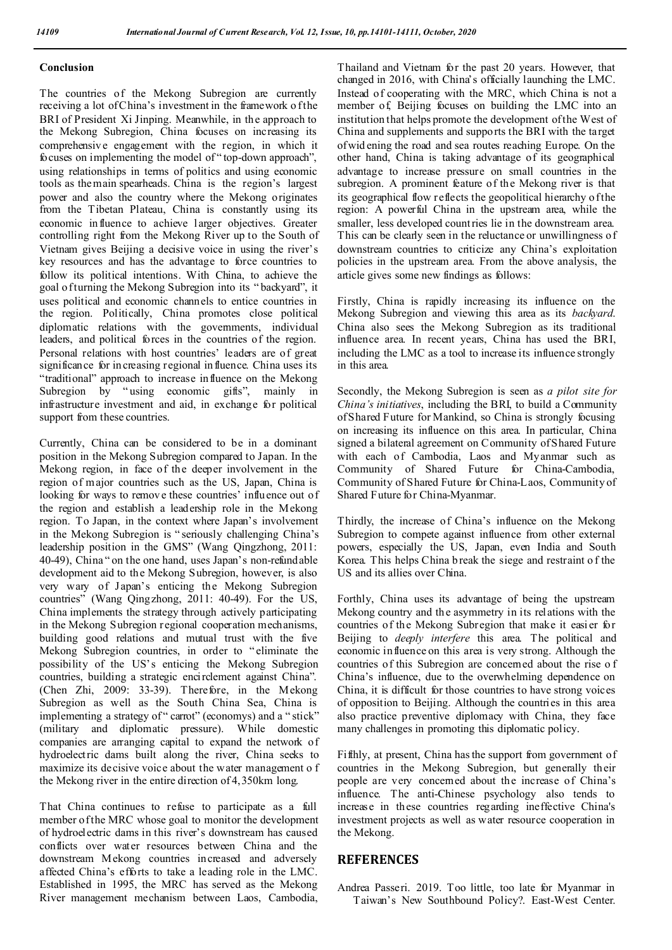### **Conclusion**

The countries of the Mekong Subregion are currently receiving a lot of China's investment in the framework of the BRI of President Xi Jinping. Meanwhile, in the approach to the Mekong Subregion, China focuses on increasing its comprehensiv e engagement with the region, in which it focuses on implementing the model of " top-down approach", using relationships in terms of politics and using economic tools as the main spearheads. China is the region's largest power and also the country where the Mekong originates from the Tibetan Plateau, China is constantly using its economic influence to achieve larger objectives. Greater controlling right from the Mekong River up to the South of Vietnam gives Beijing a decisive voice in using the river's key resources and has the advantage to force countries to follow its political intentions. With China, to achieve the goal o f turning the Mekong Subregion into its "backyard", it uses political and economic channels to entice countries in the region. Politically, China promotes close political diplomatic relations with the governments, individual leaders, and political forces in the countries of the region. Personal relations with host countries' leaders are of great significance for in creasing regional influence. China uses its "traditional" approach to increase influence on the Mekong Subregion by "using economic gifts", mainly in infrastructure investment and aid, in exchange for political support from these countries.

Currently, China can be considered to be in a dominant position in the Mekong Subregion compared to Japan. In the Mekong region, in face of the deeper involvement in the region of major countries such as the US, Japan, China is looking for ways to remove these countries' influence out of the region and establish a leadership role in the Mekong region. To Japan, in the context where Japan's involvement in the Mekong Subregion is " seriously challenging China's leadership position in the GMS" (Wang Qingzhong, 2011: 40-49), China " on the one hand, uses Japan's non-refundable development aid to the Mekong Subregion, however, is also very wary of Japan's enticing the Mekong Subregion countries" (Wang Qingzhong, 2011: 40-49). For the US, China implements the strategy through actively participating in the Mekong Subregion regional cooperation mechanisms, building good relations and mutual trust with the five Mekong Subregion countries, in order to " eliminate the possibility of the US's enticing the Mekong Subregion countries, building a strategic encirclement against China". (Chen Zhi, 2009: 33-39). Therefore, in the Mekong Subregion as well as the South China Sea, China is implementing a strategy of " carrot" (economys) and a " stick" (military and diplomatic pressure). While domestic companies are arranging capital to expand the network of hydroelectric dams built along the river, China seeks to maximize its decisive voice about the water management o f the Mekong river in the entire direction of 4,350km long.

That China continues to refuse to participate as a full member of the MRC whose goal to monitor the development of hydroelectric dams in this river's downstream has caused conflicts over water resources between China and the downstream Mekong countries increased and adversely affected China's efforts to take a leading role in the LMC. Established in 1995, the MRC has served as the Mekong River management mechanism between Laos, Cambodia,

Thailand and Vietnam for the past 20 years. However, that changed in 2016, with China's officially launching the LMC. Instead of cooperating with the MRC, which China is not a member of, Beijing focuses on building the LMC into an institution that helps promote the development of the West of China and supplements and supports the BRI with the target of wid ening the road and sea routes reaching Europe. On the other hand, China is taking advantage of its geographical advantage to increase pressure on small countries in the subregion. A prominent feature of the Mekong river is that its geographical flow reflects the geopolitical hierarchy of the region: A powerful China in the upstream area, while the smaller, less developed count ries lie in the downstream area. This can be clearly seen in the reluctance or unwillingness o f downstream countries to criticize any China's exploitation policies in the upstream area. From the above analysis, the article gives some new findings as follows:

Firstly, China is rapidly increasing its influence on the Mekong Subregion and viewing this area as its *backyard*. China also sees the Mekong Subregion as its traditional influence area. In recent years, China has used the BRI, including the LMC as a tool to increase its influence strongly in this area.

Secondly, the Mekong Subregion is seen as *a pilot site for China's initiatives*, including the BRI, to build a Community of Shared Future for Mankind, so China is strongly focusing on increasing its influence on this area. In particular, China signed a bilateral agreement on Community of Shared Future with each of Cambodia, Laos and Myanmar such as Community of Shared Future for China-Cambodia, Community of Shared Future for China-Laos, Community of Shared Future for China-Myanmar.

Thirdly, the increase of China's influence on the Mekong Subregion to compete against influence from other external powers, especially the US, Japan, even India and South Korea. This helps China b reak the siege and restraint o f the US and its allies over China.

Forthly, China uses its advantage of being the upstream Mekong country and the asymmetry in its relations with the countries of the Mekong Subregion that make it easier for Beijing to *deeply interfere* this area. The political and economic influence on this area is very strong. Although the countries of this Subregion are concerned about the rise o f China's influence, due to the overwhelming dependence on China, it is difficult for those countries to have strong voices of opposition to Beijing. Although the countries in this area also practice preventive diplomacy with China, they face many challenges in promoting this diplomatic policy.

Fifthly, at present, China has the support from government of countries in the Mekong Subregion, but generally their people are very concerned about the increase of China's influence. The anti-Chinese psychology also tends to increase in these countries regarding ineffective China's investment projects as well as water resource cooperation in the Mekong.

## **REFERENCES**

Andrea Passeri. 2019. Too little, too late for Myanmar in Taiwan's New Southbound Policy?. East-West Center.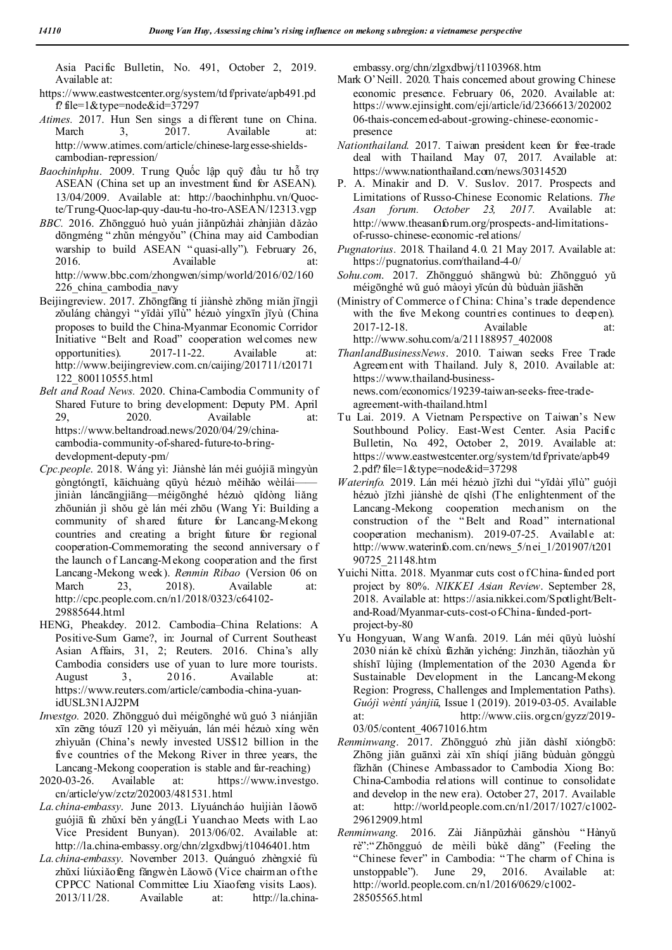Asia Pacific Bulletin, No. 491, October 2, 2019. Available at:

- https://www.eastwestcenter.org/system/td f/private/apb491.pd f? file= $1$ &type=node&id=37297
- *Atimes.* 2017. Hun Sen sings a different tune on China. March 3, 2017. Available at: http://www.atimes.com/article/chinese-largesse-shieldscambodian-repression/
- *Baochinhphu*. 2009. Trung Quốc lập quỹ đầu tư hỗ trợ ASEAN (China set up an investment fund for ASEAN). 13/04/2009. Available at: http://baochinhphu.vn/Quocte/Trung-Quoc-lap-quy-dau-tu-ho-tro-ASEAN/12313.vgp
- *BBC.* 2016. Zhōngguó huò yuán jiǎnpǔzhài zhànjiàn dǎzào dōngméng " zhǔn méngyǒu" (China may aid Cambodian warship to build ASEAN "quasi-ally"). February 26, 2016. Available at: http://www.bbc.com/zhongwen/simp/world/2016/02/160 226\_china\_cambodia\_navy
- Beijingreview. 2017. Zhōngfāng tí jiànshè zhōng miǎn jīngjì zǒuláng chàngyì " yīdài yīlù" hézuò yíngxīn jīyù (China proposes to build the China-Myanmar Economic Corridor Initiative "Belt and Road" cooperation welcomes new opportunities). 2017-11-22. Available at: http://www.beijingreview.com.cn/caijing/201711/t20171 122\_800110555.html
- *Belt and Road News.* 2020. China-Cambodia Community of Shared Future to bring development: Deputy PM. April 29, 2020. Available at: https://www.beltandroad.news/2020/04/29/chinacambodia-community-of-shared-future-to-bringdevelopment-deputy-pm/
- *Cpc.people*. 2018. Wáng yì: Jiànshè lán méi guójiā mìngyùn gòngtóngtǐ, kāichuàng qūyù hézuò měihǎo wèilái— jìniàn láncāngjiāng—méigōnghé hézuò qǐdòng liǎng zhōunián jì shǒu gè lán méi zhōu (Wang Yi: Building a community of shared future for Lancang-Mekong countries and creating a bright future for regional cooperation-Commemorating the second anniversary o f the launch o f Lancang-Mekong cooperation and the first Lancang-Mekong week). *Renmin Ribao* (Version 06 on March 23, 2018). Available at: http://cpc.people.com.cn/n1/2018/0323/c64102- 29885644.html
- HENG, Pheakdey. 2012. Cambodia–China Relations: A Positive-Sum Game?, in: Journal of Current Southeast Asian Affairs, 31, 2; Reuters. 2016. China's ally Cambodia considers use of yuan to lure more tourists. August 3, 2016. Available at: https://www.reuters.com/article/cambodia-china-yuanidUSL3N1AJ2PM
- *Investgo.* 2020. Zhōngguó duì méigōnghé wǔ guó 3 niánjiān xīn zēng tóuzī 120 yì měiyuán, lán méi hézuò xíng wěn zhìyuǎn (China's newly invested US\$12 billion in the five countries of the Mekong River in three years, the Lancang-Mekong cooperation is stable and far-reaching)
- 2020-03-26. Available at: https://www.investgo. cn/article/yw/zctz/202003/481531.html
- *La.china-embassy*. June 2013. Lǐyuáncháo huìjiàn l ǎowō guójiā fù zhǔxí běn yáng(Li Yuanchao Meets with Lao Vice President Bunyan). 2013/06/02. Available at: http://la.china-embassy.org/chn/zlgxdbwj/t1046401.htm
- *La.china-embassy*. November 2013. Quánguó zhèngxié fù zhǔxí liúxiǎofēng fǎngwèn Lǎowō (Vice chairman of the CPPCC National Committee Liu Xiaofeng visits Laos). 2013/11/28. Available at: http://la.china-

embassy.org/chn/zlgxdbwj/t1103968.htm

- Mark O'Neill. 2020. Thais concerned about growing Chinese economic presence. February 06, 2020. Available at: https://www.ejinsight.com/eji/article/id/2366613/202002 06-thais-concerned-about-growing-chinese-economicpresence
- *Nationthailand*. 2017. Taiwan president keen for free-trade deal with Thailand. May 07, 2017. Available at: https://www.nationthailand.com/news/30314520
- P. A. Minakir and D. V. Suslov. 2017. Prospects and Limitations of Russo-Chinese Economic Relations. *The Asan forum. October 23, 2017.* Available at: http://www.theasanforum.org/prospects-and-limitationsof-russo-chinese-economic-relations/
- *Pugnatorius.* 2018. Thailand 4.0. 21 May 2017. Available at: https://pugnatorius.com/thailand-4-0/
- *Sohu.com*. 2017. Zhōngguó shāngwù bù: Zhōngguó yǔ méigōnghé wǔ guó màoyì yīcún dù bùduàn jiāshēn
- (Ministry of Commerce o f China: China's trade dependence with the five Mekong countries continues to deepen). 2017-12-18. Available at: http://www.sohu.com/a/211188957\_402008
- *ThanlandBusinessNews*. 2010. Taiwan seeks Free Trade Agreement with Thailand. July 8, 2010. Available at: https://www.thailand-businessnews.com/economics/19239-taiwan-seeks-free-tradeagreement-with-thailand.html
- Tu Lai. 2019. A Vietnam Perspective on Taiwan's New Southbound Policy. East-West Center. Asia Pacific Bulletin, No. 492, October 2, 2019. Available at: https://www.eastwestcenter.org/system/td f/private/apb49 2.pdf? file=1&type=node&id=37298
- *Waterinfo.* 2019. Lán méi hézuò jīzhì duì "yīdài yīlù" guójì hézuò jīzhì jiànshè de qǐshì (The enlightenment of the Lancang-Mekong cooperation mechanism on the construction of the " Belt and Road" international cooperation mechanism). 2019-07-25. Available at: http://www.waterinfo.com.cn/news\_5/nei\_1/201907/t201 90725\_21148.htm
- Yuichi Nitta. 2018. Myanmar cuts cost of China-funded port project by 80%. *NIKKEI Asian Review*. September 28, 2018. Available at: https://asia.nikkei.com/Spotlight/Beltand-Road/Myanmar-cuts-cost-of-China-funded-portproject-by-80
- Yu Hongyuan, Wang Wanfa. 2019. Lán méi qūyù luòshí 2030 nián kě chíxù fāzhǎn yìchéng: Jìnzhǎn, tiǎozhàn yǔ shíshī lùjìng (Implementation of the 2030 Agenda for Sustainable Development in the Lancang-Mekong Region: Progress, Challenges and Implementation Paths). *Guójì wèntí yánjiū*, Issue 1 (2019). 2019-03-05. Available at: http://www.ciis.org.cn/gyzz/2019-03/05/content\_40671016.htm
- *Renminwang*. 2017. Zhōngguó zhù jiǎn dàshǐ xióngbō: Zhōng jiǎn guānxì zài xīn shíqí jiāng bùduàn gǒnggù fāzhǎn (Chinese Ambassador to Cambodia Xiong Bo: China-Cambodia relations will continue to consolidate and develop in the new era). October 27, 2017. Available at: http://world.people.com.cn/n1/2017/1027/c1002- 29612909.html
- *Renminwang.* 2016. Zài Jiǎnpǔzhài gǎnshòu " Hànyǔ rè":" Zhōngguó de mèilì bùkě dǎng" (Feeling the "Chinese fever" in Cambodia: " The charm of China is unstoppable"). June 29, 2016. Available at: http://world.people.com.cn/n1/2016/0629/c1002- 28505565.html